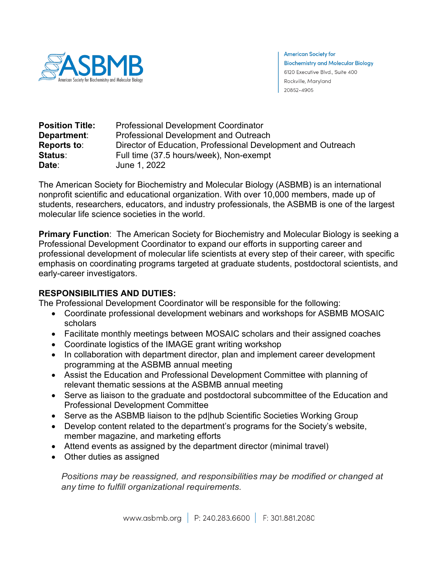

**American Society for Biochemistry and Molecular Biology** 6120 Executive Blvd., Suite 400 Rockville, Maryland 20852-4905

| <b>Position Title:</b><br>Department: | <b>Professional Development Coordinator</b><br>Professional Development and Outreach |
|---------------------------------------|--------------------------------------------------------------------------------------|
| <b>Reports to:</b>                    | Director of Education, Professional Development and Outreach                         |
| Status:                               | Full time (37.5 hours/week), Non-exempt                                              |
| Date:                                 | June 1, 2022                                                                         |

The American Society for Biochemistry and Molecular Biology (ASBMB) is an international nonprofit scientific and educational organization. With over 10,000 members, made up of students, researchers, educators, and industry professionals, the ASBMB is one of the largest molecular life science societies in the world.

**Primary Function**: The American Society for Biochemistry and Molecular Biology is seeking a Professional Development Coordinator to expand our efforts in supporting career and professional development of molecular life scientists at every step of their career, with specific emphasis on coordinating programs targeted at graduate students, postdoctoral scientists, and early-career investigators.

# **RESPONSIBILITIES AND DUTIES:**

The Professional Development Coordinator will be responsible for the following:

- Coordinate professional development webinars and workshops for ASBMB MOSAIC scholars
- Facilitate monthly meetings between MOSAIC scholars and their assigned coaches
- Coordinate logistics of the IMAGE grant writing workshop
- In collaboration with department director, plan and implement career development programming at the ASBMB annual meeting
- Assist the Education and Professional Development Committee with planning of relevant thematic sessions at the ASBMB annual meeting
- Serve as liaison to the graduate and postdoctoral subcommittee of the Education and Professional Development Committee
- Serve as the ASBMB liaison to the pd|hub Scientific Societies Working Group
- Develop content related to the department's programs for the Society's website, member magazine, and marketing efforts
- Attend events as assigned by the department director (minimal travel)
- Other duties as assigned

*Positions may be reassigned, and responsibilities may be modified or changed at any time to fulfill organizational requirements.*